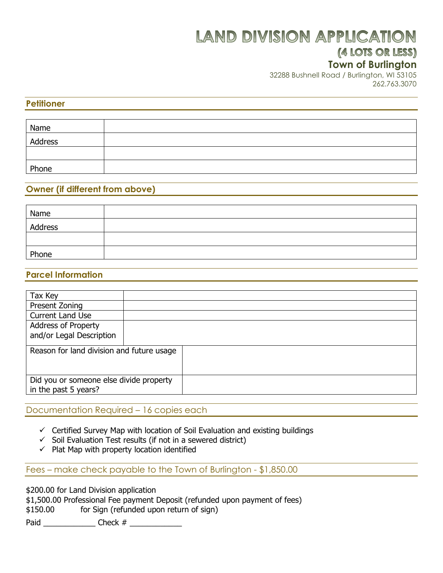# **LAND DIVISION APPLICATION**

## (4 LOTS OR LESS)

### **Town of Burlington**

32288 Bushnell Road / Burlington, WI 53105 262.763.3070

#### **Petitioner**

| Name    |  |
|---------|--|
| Address |  |
|         |  |
| Phone   |  |

#### **Owner (if different from above)**

| Name    |  |
|---------|--|
| Address |  |
|         |  |
| Phone   |  |

#### **Parcel Information**

| Tax Key                                   |  |  |  |
|-------------------------------------------|--|--|--|
| Present Zoning                            |  |  |  |
| <b>Current Land Use</b>                   |  |  |  |
| <b>Address of Property</b>                |  |  |  |
| and/or Legal Description                  |  |  |  |
|                                           |  |  |  |
| Reason for land division and future usage |  |  |  |
|                                           |  |  |  |
|                                           |  |  |  |
| Did you or someone else divide property   |  |  |  |
| in the past 5 years?                      |  |  |  |
|                                           |  |  |  |

#### Documentation Required – 16 copies each

- $\checkmark$  Certified Survey Map with location of Soil Evaluation and existing buildings
- $\checkmark$  Soil Evaluation Test results (if not in a sewered district)
- $\checkmark$  Plat Map with property location identified

Fees – make check payable to the Town of Burlington - \$1,850.00

\$200.00 for Land Division application

|  | \$1,500.00 Professional Fee payment Deposit (refunded upon payment of fees) |  |  |  |  |
|--|-----------------------------------------------------------------------------|--|--|--|--|
|  |                                                                             |  |  |  |  |

\$150.00 for Sign (refunded upon return of sign)

Paid \_\_\_\_\_\_\_\_\_\_\_\_ Check # \_\_\_\_\_\_\_\_\_\_\_\_